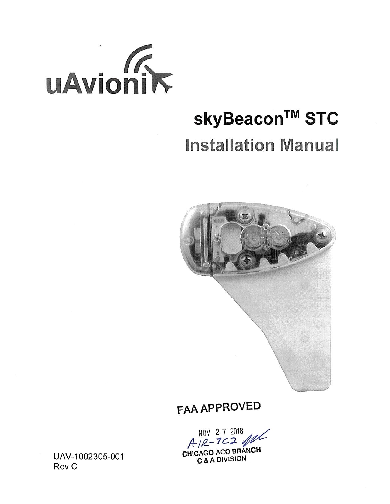

# skyBeacon™ STC **Installation Manual**



**FAA APPROVED** 

NOV 27 2018 CHICAGO ACO BRANCH C & A DIVISION

UAV-1002305-001 Rev C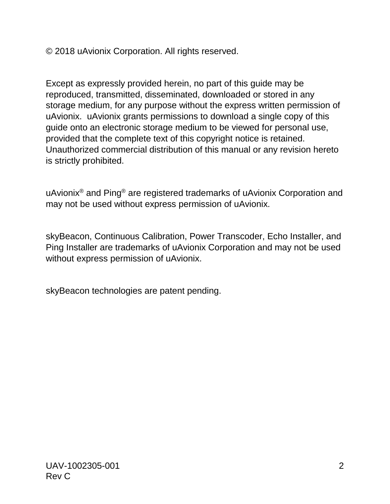© 2018 uAvionix Corporation. All rights reserved.

Except as expressly provided herein, no part of this guide may be reproduced, transmitted, disseminated, downloaded or stored in any storage medium, for any purpose without the express written permission of uAvionix. uAvionix grants permissions to download a single copy of this guide onto an electronic storage medium to be viewed for personal use, provided that the complete text of this copyright notice is retained. Unauthorized commercial distribution of this manual or any revision hereto is strictly prohibited.

uAvionix® and Ping® are registered trademarks of uAvionix Corporation and may not be used without express permission of uAvionix.

skyBeacon, Continuous Calibration, Power Transcoder, Echo Installer, and Ping Installer are trademarks of uAvionix Corporation and may not be used without express permission of uAvionix.

skyBeacon technologies are patent pending.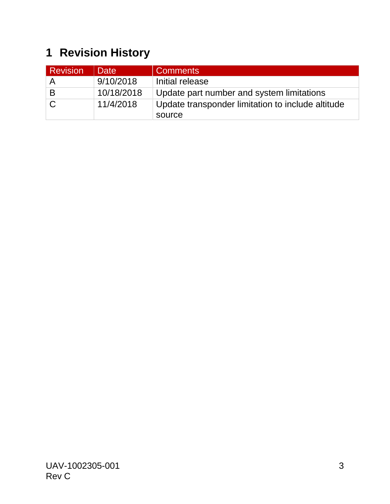## <span id="page-2-0"></span>**1 Revision History**

| <b>Revision</b> | <b>Date</b> | <b>Comments</b>                                   |
|-----------------|-------------|---------------------------------------------------|
| A               | 9/10/2018   | Initial release                                   |
| B               | 10/18/2018  | Update part number and system limitations         |
|                 | 11/4/2018   | Update transponder limitation to include altitude |
|                 |             | source                                            |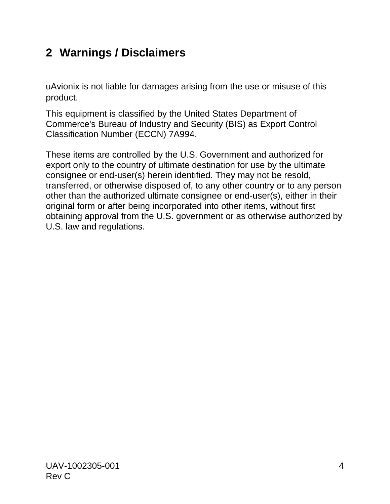### <span id="page-3-0"></span>**2 Warnings / Disclaimers**

uAvionix is not liable for damages arising from the use or misuse of this product.

This equipment is classified by the United States Department of Commerce's Bureau of Industry and Security (BIS) as Export Control Classification Number (ECCN) 7A994.

These items are controlled by the U.S. Government and authorized for export only to the country of ultimate destination for use by the ultimate consignee or end-user(s) herein identified. They may not be resold, transferred, or otherwise disposed of, to any other country or to any person other than the authorized ultimate consignee or end-user(s), either in their original form or after being incorporated into other items, without first obtaining approval from the U.S. government or as otherwise authorized by U.S. law and regulations.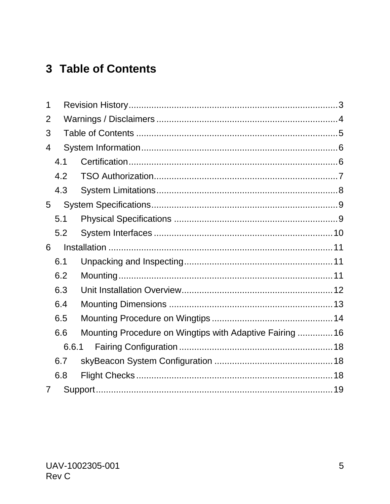### <span id="page-4-0"></span>3 Table of Contents

| 1              |       |                                                         |  |
|----------------|-------|---------------------------------------------------------|--|
| 2              |       |                                                         |  |
| 3              |       |                                                         |  |
| 4              |       |                                                         |  |
|                | 4.1   |                                                         |  |
|                | 4.2   |                                                         |  |
|                | 4.3   |                                                         |  |
| 5              |       |                                                         |  |
|                | 5.1   |                                                         |  |
|                | 5.2   |                                                         |  |
| 6              |       |                                                         |  |
|                | 6.1   |                                                         |  |
|                | 6.2   |                                                         |  |
|                | 6.3   |                                                         |  |
|                | 6.4   |                                                         |  |
|                | 6.5   |                                                         |  |
|                | 6.6   | Mounting Procedure on Wingtips with Adaptive Fairing 16 |  |
|                | 6.6.1 |                                                         |  |
|                | 6.7   |                                                         |  |
|                | 6.8   |                                                         |  |
| $\overline{7}$ |       |                                                         |  |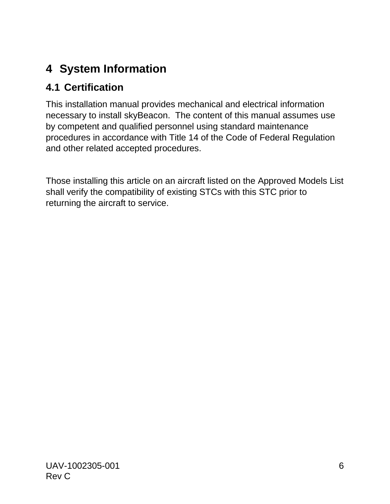### <span id="page-5-0"></span>**4 System Information**

### <span id="page-5-1"></span>**4.1 Certification**

This installation manual provides mechanical and electrical information necessary to install skyBeacon. The content of this manual assumes use by competent and qualified personnel using standard maintenance procedures in accordance with Title 14 of the Code of Federal Regulation and other related accepted procedures.

Those installing this article on an aircraft listed on the Approved Models List shall verify the compatibility of existing STCs with this STC prior to returning the aircraft to service.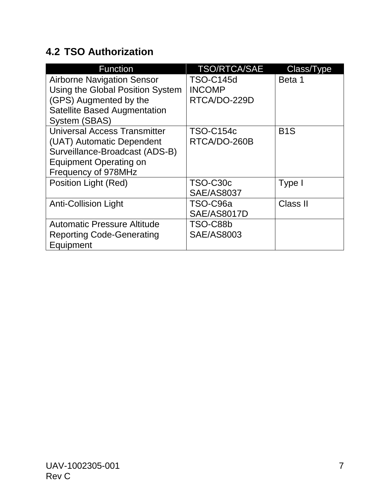### <span id="page-6-0"></span>**4.2 TSO Authorization**

| <b>Function</b>                     | <b>TSO/RTCA/SAE</b> | Class/Type       |
|-------------------------------------|---------------------|------------------|
| <b>Airborne Navigation Sensor</b>   | <b>TSO-C145d</b>    | Beta 1           |
| Using the Global Position System    | <b>INCOMP</b>       |                  |
| (GPS) Augmented by the              | RTCA/DO-229D        |                  |
| <b>Satellite Based Augmentation</b> |                     |                  |
| <b>System (SBAS)</b>                |                     |                  |
| Universal Access Transmitter        | <b>TSO-C154c</b>    | B <sub>1</sub> S |
| (UAT) Automatic Dependent           | RTCA/DO-260B        |                  |
| Surveillance-Broadcast (ADS-B)      |                     |                  |
| <b>Equipment Operating on</b>       |                     |                  |
| Frequency of 978MHz                 |                     |                  |
| Position Light (Red)                | TSO-C30c            | Type I           |
|                                     | <b>SAE/AS8037</b>   |                  |
| <b>Anti-Collision Light</b>         | TSO-C96a            | Class II         |
|                                     | <b>SAE/AS8017D</b>  |                  |
| <b>Automatic Pressure Altitude</b>  | TSO-C88b            |                  |
| <b>Reporting Code-Generating</b>    | <b>SAE/AS8003</b>   |                  |
| Equipment                           |                     |                  |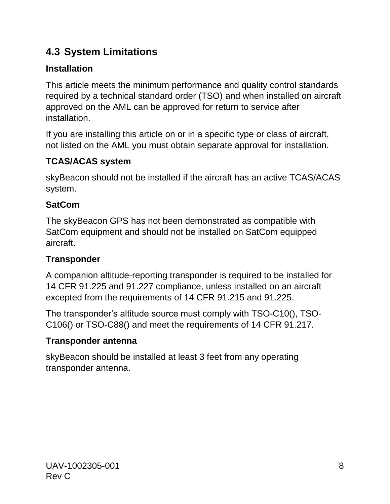### <span id="page-7-0"></span>**4.3 System Limitations**

#### **Installation**

This article meets the minimum performance and quality control standards required by a technical standard order (TSO) and when installed on aircraft approved on the AML can be approved for return to service after installation.

If you are installing this article on or in a specific type or class of aircraft, not listed on the AML you must obtain separate approval for installation.

#### **TCAS/ACAS system**

skyBeacon should not be installed if the aircraft has an active TCAS/ACAS system.

#### **SatCom**

The skyBeacon GPS has not been demonstrated as compatible with SatCom equipment and should not be installed on SatCom equipped aircraft.

#### **Transponder**

A companion altitude-reporting transponder is required to be installed for 14 CFR 91.225 and 91.227 compliance, unless installed on an aircraft excepted from the requirements of 14 CFR 91.215 and 91.225.

The transponder's altitude source must comply with TSO-C10(), TSO-C106() or TSO-C88() and meet the requirements of 14 CFR 91.217.

#### **Transponder antenna**

skyBeacon should be installed at least 3 feet from any operating transponder antenna.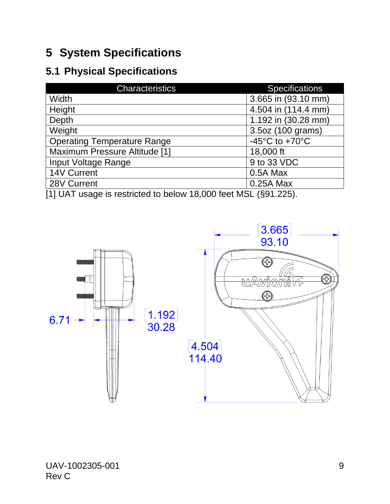### <span id="page-8-0"></span>**5 System Specifications**

### <span id="page-8-1"></span>**5.1 Physical Specifications**

| <b>Characteristics</b>                                                                                                                            | <b>Specifications</b>                |
|---------------------------------------------------------------------------------------------------------------------------------------------------|--------------------------------------|
| Width                                                                                                                                             | 3.665 in (93.10 mm)                  |
| Height                                                                                                                                            | 4.504 in (114.4 mm)                  |
| Depth                                                                                                                                             | 1.192 in (30.28 mm)                  |
| Weight                                                                                                                                            | 3.5oz (100 grams)                    |
| <b>Operating Temperature Range</b>                                                                                                                | -45 $^{\circ}$ C to +70 $^{\circ}$ C |
| <b>Maximum Pressure Altitude [1]</b>                                                                                                              | 18,000 ft                            |
| Input Voltage Range                                                                                                                               | 9 to 33 VDC                          |
| 14V Current                                                                                                                                       | 0.5A Max                             |
| 28V Current                                                                                                                                       | 0.25A Max                            |
| $\mathcal{L}$ . The state of the state of $\mathcal{L}$ and $\mathcal{L}$ and $\mathcal{L}$ and $\mathcal{L}$ and $\mathcal{L}$<br>$\blacksquare$ |                                      |

[1] UAT usage is restricted to below 18,000 feet MSL (§91.225).

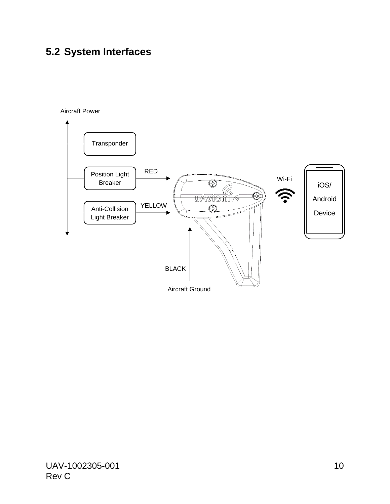### <span id="page-9-0"></span>**5.2 System Interfaces**

#### Aircraft Power

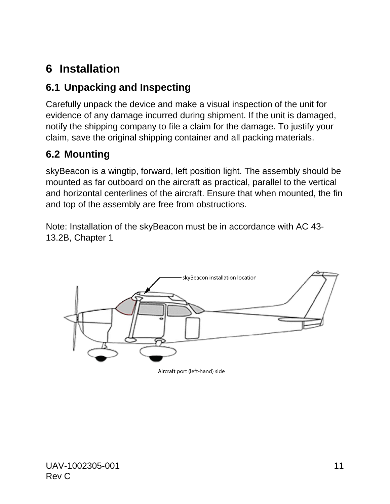### <span id="page-10-0"></span>**6 Installation**

### <span id="page-10-1"></span>**6.1 Unpacking and Inspecting**

Carefully unpack the device and make a visual inspection of the unit for evidence of any damage incurred during shipment. If the unit is damaged, notify the shipping company to file a claim for the damage. To justify your claim, save the original shipping container and all packing materials.

### <span id="page-10-2"></span>**6.2 Mounting**

skyBeacon is a wingtip, forward, left position light. The assembly should be mounted as far outboard on the aircraft as practical, parallel to the vertical and horizontal centerlines of the aircraft. Ensure that when mounted, the fin and top of the assembly are free from obstructions.

Note: Installation of the skyBeacon must be in accordance with AC 43- 13.2B, Chapter 1



Aircraft port (left-hand) side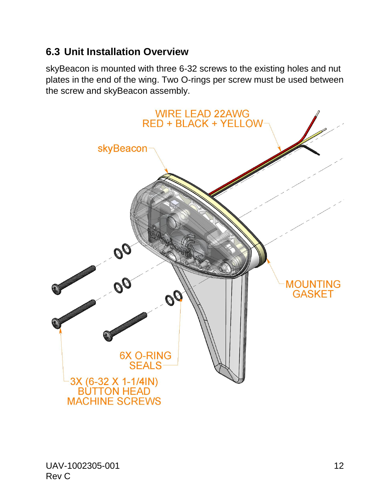### <span id="page-11-0"></span>**6.3 Unit Installation Overview**

skyBeacon is mounted with three 6-32 screws to the existing holes and nut plates in the end of the wing. Two O-rings per screw must be used between the screw and skyBeacon assembly.

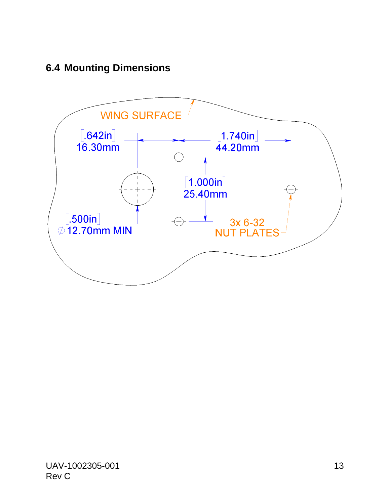### <span id="page-12-0"></span>**6.4 Mounting Dimensions**

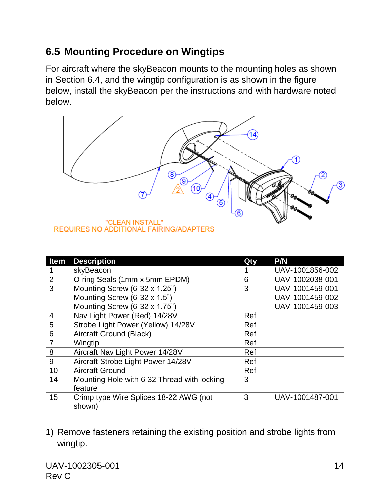### <span id="page-13-0"></span>**6.5 Mounting Procedure on Wingtips**

For aircraft where the skyBeacon mounts to the mounting holes as shown in Section 6.4, and the wingtip configuration is as shown in the figure below, install the skyBeacon per the instructions and with hardware noted below.



| <b>Item</b>    | <b>Description</b>                          | Qty | P/N             |
|----------------|---------------------------------------------|-----|-----------------|
|                | skyBeacon                                   |     | UAV-1001856-002 |
| $\overline{2}$ | O-ring Seals (1mm x 5mm EPDM)               | 6   | UAV-1002038-001 |
| 3              | Mounting Screw (6-32 x 1.25")               | 3   | UAV-1001459-001 |
|                | Mounting Screw (6-32 x 1.5")                |     | UAV-1001459-002 |
|                | Mounting Screw (6-32 x 1.75")               |     | UAV-1001459-003 |
| $\overline{4}$ | Nav Light Power (Red) 14/28V                | Ref |                 |
| 5              | Strobe Light Power (Yellow) 14/28V          | Ref |                 |
| 6              | Aircraft Ground (Black)                     | Ref |                 |
| $\overline{7}$ | Wingtip                                     | Ref |                 |
| 8              | Aircraft Nav Light Power 14/28V             | Ref |                 |
| 9              | Aircraft Strobe Light Power 14/28V          | Ref |                 |
| 10             | <b>Aircraft Ground</b>                      | Ref |                 |
| 14             | Mounting Hole with 6-32 Thread with locking | 3   |                 |
|                | feature                                     |     |                 |
| 15             | Crimp type Wire Splices 18-22 AWG (not      | 3   | UAV-1001487-001 |
|                | shown)                                      |     |                 |

#### 1) Remove fasteners retaining the existing position and strobe lights from wingtip.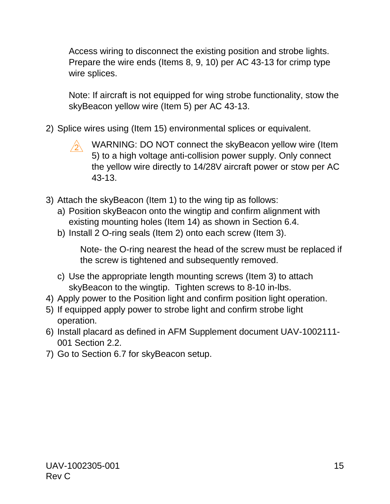Access wiring to disconnect the existing position and strobe lights. Prepare the wire ends (Items 8, 9, 10) per AC 43-13 for crimp type wire splices.

Note: If aircraft is not equipped for wing strobe functionality, stow the skyBeacon yellow wire (Item 5) per AC 43-13.

- 2) Splice wires using (Item 15) environmental splices or equivalent.
	- WARNING: DO NOT connect the skyBeacon yellow wire (Item 5) to a high voltage anti-collision power supply. Only connect the yellow wire directly to 14/28V aircraft power or stow per AC 43-13.
- 3) Attach the skyBeacon (Item 1) to the wing tip as follows:
	- a) Position skyBeacon onto the wingtip and confirm alignment with existing mounting holes (Item 14) as shown in Section 6.4.
	- b) Install 2 O-ring seals (Item 2) onto each screw (Item 3).

Note- the O-ring nearest the head of the screw must be replaced if the screw is tightened and subsequently removed.

- c) Use the appropriate length mounting screws (Item 3) to attach skyBeacon to the wingtip. Tighten screws to 8-10 in-lbs.
- 4) Apply power to the Position light and confirm position light operation.
- 5) If equipped apply power to strobe light and confirm strobe light operation.
- 6) Install placard as defined in AFM Supplement document UAV-1002111- 001 Section 2.2.
- 7) Go to Section 6.7 for skyBeacon setup.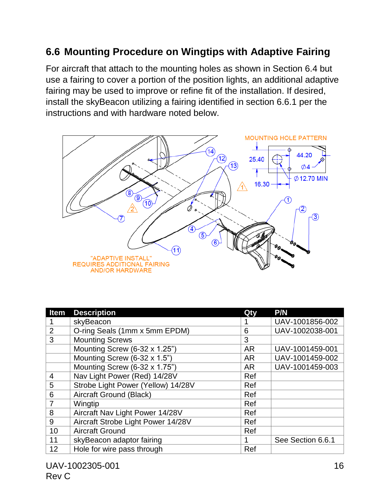### <span id="page-15-0"></span>**6.6 Mounting Procedure on Wingtips with Adaptive Fairing**

For aircraft that attach to the mounting holes as shown in Section 6.4 but use a fairing to cover a portion of the position lights, an additional adaptive fairing may be used to improve or refine fit of the installation. If desired, install the skyBeacon utilizing a fairing identified in section 6.6.1 per the instructions and with hardware noted below.



| <b>Item</b>    | <b>Description</b>                 | Qty       | P/N               |
|----------------|------------------------------------|-----------|-------------------|
|                | skyBeacon                          |           | UAV-1001856-002   |
| $\overline{2}$ | O-ring Seals (1mm x 5mm EPDM)      | 6         | UAV-1002038-001   |
| 3              | <b>Mounting Screws</b>             | 3         |                   |
|                | Mounting Screw (6-32 x 1.25")      | <b>AR</b> | UAV-1001459-001   |
|                | Mounting Screw (6-32 x 1.5")       | <b>AR</b> | UAV-1001459-002   |
|                | Mounting Screw (6-32 x 1.75")      | <b>AR</b> | UAV-1001459-003   |
| 4              | Nav Light Power (Red) 14/28V       | Ref       |                   |
| 5              | Strobe Light Power (Yellow) 14/28V | Ref       |                   |
| 6              | Aircraft Ground (Black)            | Ref       |                   |
|                | Wingtip                            | Ref       |                   |
| 8              | Aircraft Nav Light Power 14/28V    | Ref       |                   |
| 9              | Aircraft Strobe Light Power 14/28V | Ref       |                   |
| 10             | <b>Aircraft Ground</b>             | Ref       |                   |
| 11             | skyBeacon adaptor fairing          | 1         | See Section 6.6.1 |
| 12             | Hole for wire pass through         | Ref       |                   |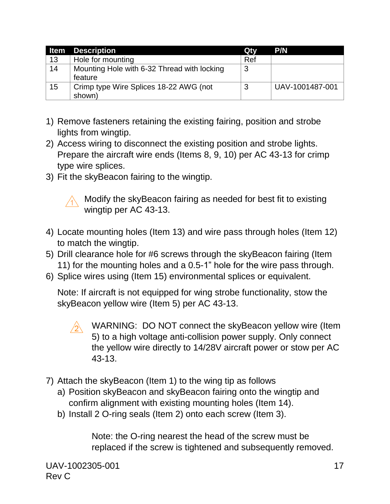| Item | <b>Description</b>                          | Qty | <b>P/N</b>      |
|------|---------------------------------------------|-----|-----------------|
| 13   | Hole for mounting                           | Ref |                 |
| 14   | Mounting Hole with 6-32 Thread with locking | 3   |                 |
|      | feature                                     |     |                 |
| 15   | Crimp type Wire Splices 18-22 AWG (not      | 3   | UAV-1001487-001 |
|      | shown)                                      |     |                 |

- 1) Remove fasteners retaining the existing fairing, position and strobe lights from wingtip.
- 2) Access wiring to disconnect the existing position and strobe lights. Prepare the aircraft wire ends (Items 8, 9, 10) per AC 43-13 for crimp type wire splices.
- 3) Fit the skyBeacon fairing to the wingtip.



 $\land$  Modify the skyBeacon fairing as needed for best fit to existing wingtip per AC 43-13.

- 4) Locate mounting holes (Item 13) and wire pass through holes (Item 12) to match the wingtip.
- 5) Drill clearance hole for #6 screws through the skyBeacon fairing (Item 11) for the mounting holes and a 0.5-1" hole for the wire pass through.
- 6) Splice wires using (Item 15) environmental splices or equivalent.

Note: If aircraft is not equipped for wing strobe functionality, stow the skyBeacon yellow wire (Item 5) per AC 43-13.

- $\triangle$ WARNING: DO NOT connect the skyBeacon yellow wire (Item 5) to a high voltage anti-collision power supply. Only connect the yellow wire directly to 14/28V aircraft power or stow per AC 43-13.
- 7) Attach the skyBeacon (Item 1) to the wing tip as follows
	- a) Position skyBeacon and skyBeacon fairing onto the wingtip and confirm alignment with existing mounting holes (Item 14).
	- b) Install 2 O-ring seals (Item 2) onto each screw (Item 3).

Note: the O-ring nearest the head of the screw must be replaced if the screw is tightened and subsequently removed.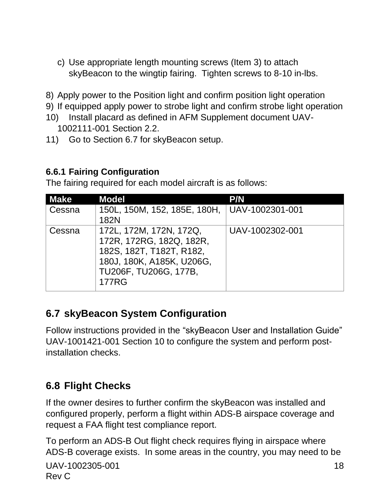- c) Use appropriate length mounting screws (Item 3) to attach skyBeacon to the wingtip fairing. Tighten screws to 8-10 in-lbs.
- 8) Apply power to the Position light and confirm position light operation
- 9) If equipped apply power to strobe light and confirm strobe light operation
- 10) Install placard as defined in AFM Supplement document UAV-1002111-001 Section 2.2.
- 11) Go to Section 6.7 for skyBeacon setup.

#### <span id="page-17-0"></span>**6.6.1 Fairing Configuration**

The fairing required for each model aircraft is as follows:

| <b>Make</b> | <b>Model</b>                                                                                                                                          | <b>P/N</b>      |
|-------------|-------------------------------------------------------------------------------------------------------------------------------------------------------|-----------------|
| Cessna      | 150L, 150M, 152, 185E, 180H, UAV-1002301-001<br>182N                                                                                                  |                 |
| Cessna      | 172L, 172M, 172N, 172Q,<br>172R, 172RG, 182Q, 182R,<br>182S, 182T, T182T, R182,<br>180J, 180K, A185K, U206G,<br>TU206F, TU206G, 177B,<br><b>177RG</b> | UAV-1002302-001 |

### <span id="page-17-1"></span>**6.7 skyBeacon System Configuration**

Follow instructions provided in the "skyBeacon User and Installation Guide" UAV-1001421-001 Section 10 to configure the system and perform postinstallation checks.

#### <span id="page-17-2"></span>**6.8 Flight Checks**

If the owner desires to further confirm the skyBeacon was installed and configured properly, perform a flight within ADS-B airspace coverage and request a FAA flight test compliance report.

To perform an ADS-B Out flight check requires flying in airspace where ADS-B coverage exists. In some areas in the country, you may need to be

```
UAV-1002305-001 18
Rev C
```